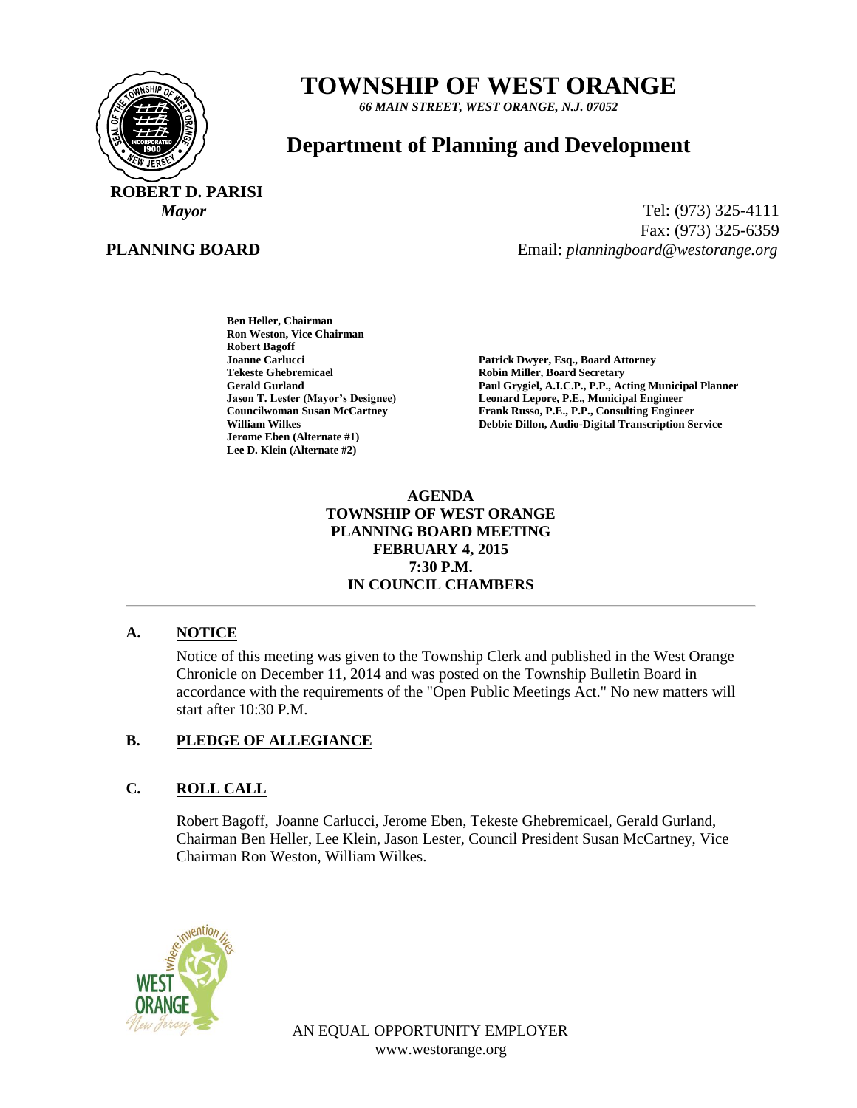

# **TOWNSHIP OF WEST ORANGE**

*66 MAIN STREET, WEST ORANGE, N.J. 07052*

# **Department of Planning and Development**

 **ROBERT D. PARISI**

## **PLANNING BOARD**

*Mayor* Tel: (973) 325-4111 Fax: (973) 325-6359 Email: *planningboard@westorange.org*

> **Ben Heller, Chairman Ron Weston, Vice Chairman Robert Bagoff Tekeste Ghebremicael and Secretary Cerald Gurland Control Cerald Gurland Cerald Gurland Cerald Gurland Cerald All C.P., P.P., According Cerald All C.P., P.P., According Cerald All C.P., P.P., According Cerald All C.P., P. Jerome Eben (Alternate #1) Lee D. Klein (Alternate #2)**

Patrick Dwyer, Esq., Board Attorney **Gerald Gurland Paul Grygiel, A.I.C.P., P.P., Acting Municipal Planner** Leonard Lepore, P.E., Municipal Engineer **Councilwoman Susan McCartney Frank Russo, P.E., P.P., Consulting Engineer William Wilkes Debbie Dillon, Audio-Digital Transcription Service**

#### **AGENDA TOWNSHIP OF WEST ORANGE PLANNING BOARD MEETING FEBRUARY 4, 2015 7:30 P.M. IN COUNCIL CHAMBERS**

#### **A. NOTICE**

Notice of this meeting was given to the Township Clerk and published in the West Orange Chronicle on December 11, 2014 and was posted on the Township Bulletin Board in accordance with the requirements of the "Open Public Meetings Act." No new matters will start after 10:30 P.M.

# **B. PLEDGE OF ALLEGIANCE**

# **C. ROLL CALL**

Robert Bagoff, Joanne Carlucci, Jerome Eben, Tekeste Ghebremicael, Gerald Gurland, Chairman Ben Heller, Lee Klein, Jason Lester, Council President Susan McCartney, Vice Chairman Ron Weston, William Wilkes.



AN EQUAL OPPORTUNITY EMPLOYER www.westorange.org